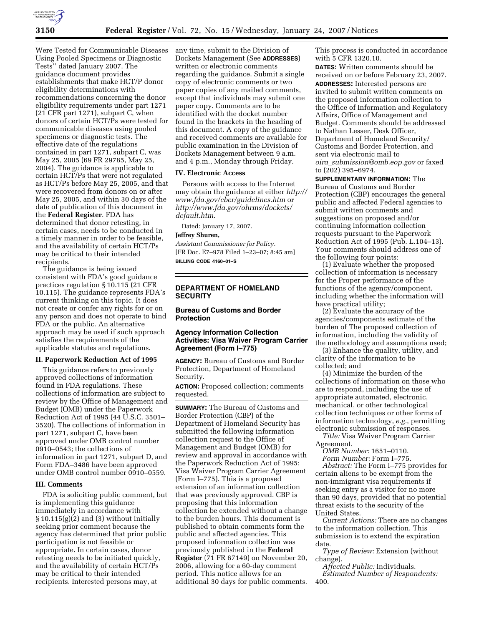

Were Tested for Communicable Diseases Using Pooled Specimens or Diagnostic Tests'' dated January 2007. The guidance document provides establishments that make HCT/P donor eligibility determinations with recommendations concerning the donor eligibility requirements under part 1271 (21 CFR part 1271), subpart C, when donors of certain HCT/Ps were tested for communicable diseases using pooled specimens or diagnostic tests. The effective date of the regulations contained in part 1271, subpart C, was May 25, 2005 (69 FR 29785, May 25, 2004). The guidance is applicable to certain HCT/Ps that were not regulated as HCT/Ps before May 25, 2005, and that were recovered from donors on or after May 25, 2005, and within 30 days of the date of publication of this document in the **Federal Register**. FDA has determined that donor retesting, in certain cases, needs to be conducted in a timely manner in order to be feasible, and the availability of certain HCT/Ps may be critical to their intended recipients.

The guidance is being issued consistent with FDA's good guidance practices regulation § 10.115 (21 CFR 10.115). The guidance represents FDA's current thinking on this topic. It does not create or confer any rights for or on any person and does not operate to bind FDA or the public. An alternative approach may be used if such approach satisfies the requirements of the applicable statutes and regulations.

### **II. Paperwork Reduction Act of 1995**

This guidance refers to previously approved collections of information found in FDA regulations. These collections of information are subject to review by the Office of Management and Budget (OMB) under the Paperwork Reduction Act of 1995 (44 U.S.C. 3501– 3520). The collections of information in part 1271, subpart C, have been approved under OMB control number 0910–0543; the collections of information in part 1271, subpart D, and Form FDA–3486 have been approved under OMB control number 0910–0559.

### **III. Comments**

FDA is soliciting public comment, but is implementing this guidance immediately in accordance with  $\S 10.115(g)(2)$  and (3) without initially seeking prior comment because the agency has determined that prior public participation is not feasible or appropriate. In certain cases, donor retesting needs to be initiated quickly, and the availability of certain HCT/Ps may be critical to their intended recipients. Interested persons may, at

any time, submit to the Division of Dockets Management (See **ADDRESSES**) written or electronic comments regarding the guidance. Submit a single copy of electronic comments or two paper copies of any mailed comments, except that individuals may submit one paper copy. Comments are to be identified with the docket number found in the brackets in the heading of this document. A copy of the guidance and received comments are available for public examination in the Division of Dockets Management between 9 a.m. and 4 p.m., Monday through Friday.

## **IV. Electronic Access**

Persons with access to the Internet may obtain the guidance at either *http:// www.fda.gov/cber/guidelines.htm* or *http://www.fda.gov/ohrms/dockets/ default.htm*.

Dated: January 17, 2007.

#### **Jeffrey Shuren,**

*Assistant Commissioner for Policy.*  [FR Doc. E7–978 Filed 1–23–07; 8:45 am] **BILLING CODE 4160–01–S** 

# **DEPARTMENT OF HOMELAND SECURITY**

### **Bureau of Customs and Border Protection**

# **Agency Information Collection Activities: Visa Waiver Program Carrier Agreement (Form I–775)**

**AGENCY:** Bureau of Customs and Border Protection, Department of Homeland Security.

**ACTION:** Proposed collection; comments requested.

**SUMMARY:** The Bureau of Customs and Border Protection (CBP) of the Department of Homeland Security has submitted the following information collection request to the Office of Management and Budget (OMB) for review and approval in accordance with the Paperwork Reduction Act of 1995: Visa Waiver Program Carrier Agreement (Form I–775). This is a proposed extension of an information collection that was previously approved. CBP is proposing that this information collection be extended without a change to the burden hours. This document is published to obtain comments form the public and affected agencies. This proposed information collection was previously published in the **Federal Register** (71 FR 67149) on November 20, 2006, allowing for a 60-day comment period. This notice allows for an additional 30 days for public comments.

This process is conducted in accordance with 5 CFR 1320.10.

**DATES:** Written comments should be received on or before February 23, 2007. **ADDRESSES:** Interested persons are invited to submit written comments on the proposed information collection to the Office of Information and Regulatory Affairs, Office of Management and Budget. Comments should be addressed to Nathan Lesser, Desk Officer, Department of Homeland Security/ Customs and Border Protection, and sent via electronic mail to *oira*\_*submission@omb.eop.gov* or faxed to (202) 395–6974.

**SUPPLEMENTARY INFORMATION:** The Bureau of Customs and Border Protection (CBP) encourages the general public and affected Federal agencies to submit written comments and suggestions on proposed and/or continuing information collection requests pursuant to the Paperwork Reduction Act of 1995 (Pub. L.104–13). Your comments should address one of the following four points:

(1) Evaluate whether the proposed collection of information is necessary for the Proper performance of the functions of the agency/component, including whether the information will have practical utility;

(2) Evaluate the accuracy of the agencies/components estimate of the burden of The proposed collection of information, including the validity of the methodology and assumptions used;

(3) Enhance the quality, utility, and clarity of the information to be collected; and

(4) Minimize the burden of the collections of information on those who are to respond, including the use of appropriate automated, electronic, mechanical, or other technological collection techniques or other forms of information technology, *e.g.*, permitting electronic submission of responses.

*Title:* Visa Waiver Program Carrier Agreement.

*OMB Number:* 1651–0110. *Form Number:* Form I–775.

*Abstract:* The Form I–775 provides for certain aliens to be exempt from the non-immigrant visa requirements if seeking entry as a visitor for no more than 90 days, provided that no potential threat exists to the security of the United States.

*Current Actions:* There are no changes to the information collection. This submission is to extend the expiration date.

*Type of Review:* Extension (without change).

*Affected Public:* Individuals. *Estimated Number of Respondents:*  400.